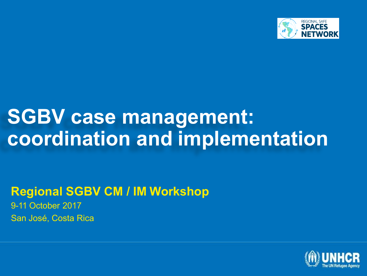

## **SGBV case management: coordination and implementation**

#### **Regional SGBV CM / IM Workshop**

9-11 October 2017 San José, Costa Rica

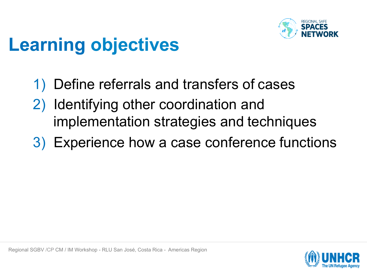

## **Learning objectives**

- 1) Define referrals and transfers of cases
- 2) Identifying other coordination and implementation strategies and techniques
- 3) Experience how a case conference functions

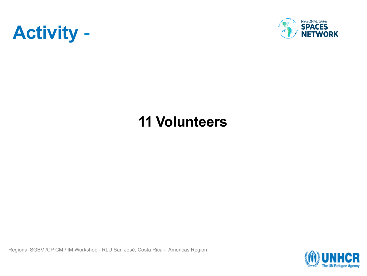



#### **11 Volunteers**

Regional SGBV /CP CM / IM Workshop - RLU San José, Costa Rica - Americas Region

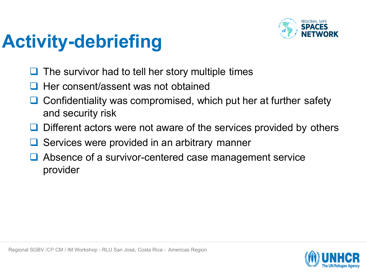

## **Activity-debriefing**

- The survivor had to tell her story multiple times
- Her consent/assent was not obtained
- $\Box$  Confidentiality was compromised, which put her at further safety and security risk
- Different actors were not aware of the services provided by others
- Services were provided in an arbitrary manner
- Absence of a survivor-centered case management service provider

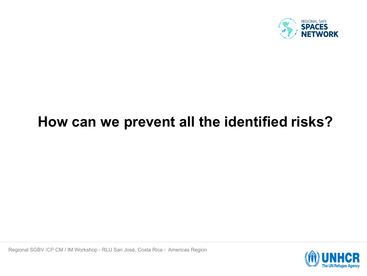

#### **How can we prevent all the identified risks?**

Regional SGBV /CP CM / IM Workshop - RLU San José, Costa Rica - Americas Region

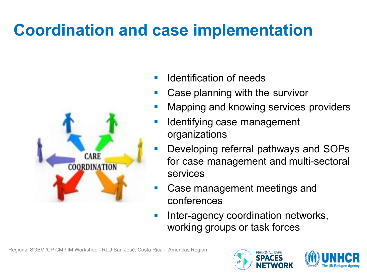#### **Coordination and case implementation**



- § Identification of needs
- Case planning with the survivor
- § Mapping and knowing services providers
- Identifying case management organizations
- Developing referral pathways and SOPs for case management and multi-sectoral services
- § Case management meetings and conferences
- Inter-agency coordination networks, working groups or task forces



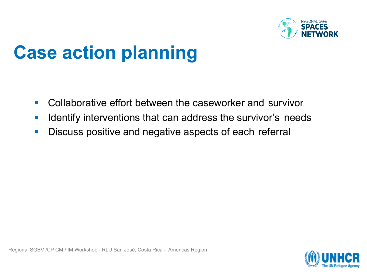

## **Case action planning**

- Collaborative effort between the caseworker and survivor
- **Identify interventions that can address the survivor's needs**
- Discuss positive and negative aspects of each referral

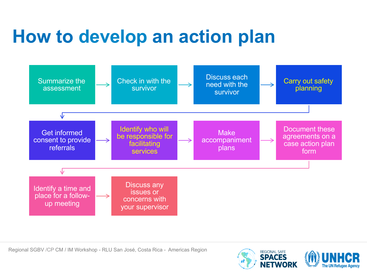## **How to develop an action plan**



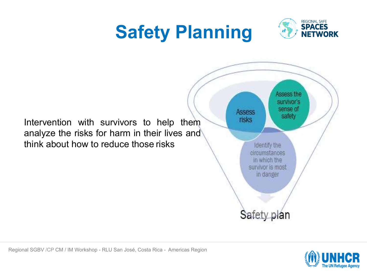# **Safety Planning**



Intervention with survivors to help them analyze the risks for harm in their lives and think about how to reduce those risks



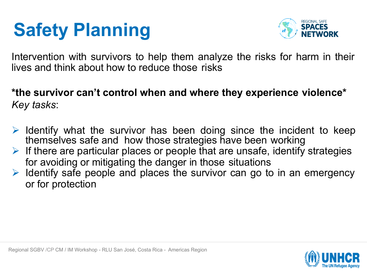## **Safety Planning**



Intervention with survivors to help them analyze the risks for harm in their lives and think about how to reduce those risks

**\*the survivor can't control when and where they experience violence\***  *Key tasks*:

- $\triangleright$  Identify what the survivor has been doing since the incident to keep themselves safe and how those strategies have been working
- $\triangleright$  If there are particular places or people that are unsafe, identify strategies for avoiding or mitigating the danger in those situations
- $\triangleright$  Identify safe people and places the survivor can go to in an emergency or for protection

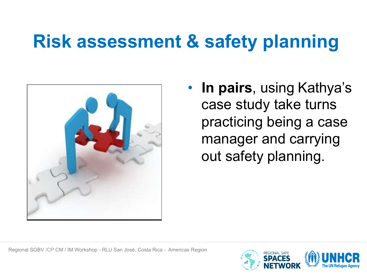## **Risk assessment & safety planning**



• **In pairs**, using Kathya's case study take turns practicing being a case manager and carrying out safety planning.

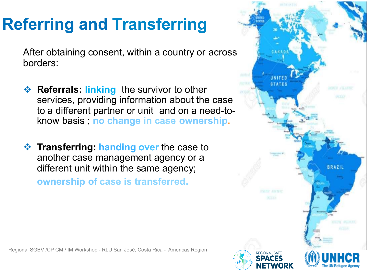#### **Referring and Transferring**

After obtaining consent, within a country or across borders:

- **Extempt Referrals: linking** the survivor to other services, providing information about the case to a different partner or unit and on a need-toknow basis ; **no change in case ownership.**
- **Example 3 Transferring: handing over** the case to another case management agency or a different unit within the same agency;

**ownership of case is transferred.**

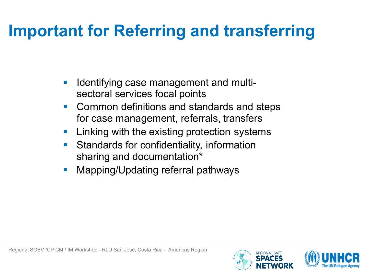#### **Important for Referring and transferring**

- § Identifying case management and multisectoral services focal points
- § Common definitions and standards and steps for case management, referrals, transfers
- § Linking with the existing protection systems
- § Standards for confidentiality, information sharing and documentation\*
- § Mapping/Updating referral pathways

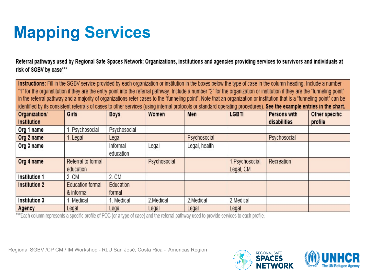### **Mapping Services**

Referral pathways used by Regional Safe Spaces Network: Organizations, institutions and agencies providing services to survivors and individuals at risk of SGBV by case\*\*\*

Instructions: Fill in the SGBV service provided by each organization or institution in the boxes below the type of case in the column heading. Include a number "1" for the org/institution if they are the entry point into the referral pathway. Include a number "2" for the organization or institution if they are the "funneling point" in the referral pathway and a majority of organizations refer cases to the "funneling point". Note that an organization or institution that is a "funneling point" can be identified by its consistent referrals of cases to other services (using internal protocols or standard operating procedures). See the example entries in the chart. Women Organization/ Girls **Boys** Men **LGBTI** Persons with Other specific Institution profile disabilities Psychosocial Psychosocial Org 1 name Org 2 name Legal Psychosocial Psychosocial 1. Legal Org 3 name Informal Legal Legal, health education Org 4 name Referral to formal Psychosocial 1. Psychosocial, **Recreation** education Legal, CM Institution 1 2. CM  $2CM$ **Institution 2 Education formal** Education & informal formal Institution 3 1. Medical 1. Medical 2. Medical 2. Medical 2.Medical Legal Legal Legal Legal Legal Agency

\*\*\*Each column represents a specific profile of POC (or a type of case) and the referral pathway used to provide services to each profile.

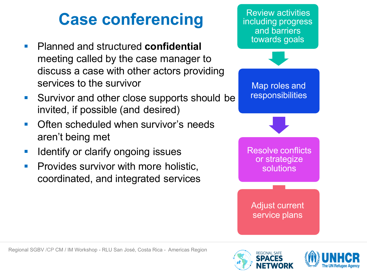#### **Case conferencing**

- § Planned and structured **confidential**  meeting called by the case manager to discuss a case with other actors providing services to the survivor
- Survivor and other close supports should be invited, if possible (and desired)
- § Often scheduled when survivor's needs aren't being met
- § Identify or clarify ongoing issues
- § Provides survivor with more holistic, coordinated, and integrated services

including progress and barriers towards goals Map roles and **responsibilities** Resolve conflicts or strategize solutions Adjust current service plans

Review activities

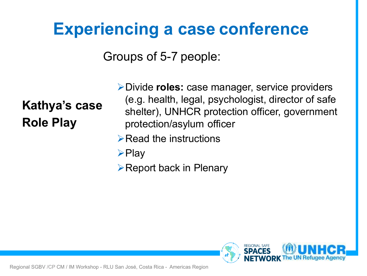#### **Experiencing a case conference**

Groups of 5-7 people:

#### **Kathya's case Role Play**

ØDivide **roles:** case manager, service providers (e.g. health, legal, psychologist, director of safe shelter), UNHCR protection officer, government protection/asylum officer

- $\triangleright$  Read the instructions
- $\triangleright$ Play

 $\triangleright$  Report back in Plenary